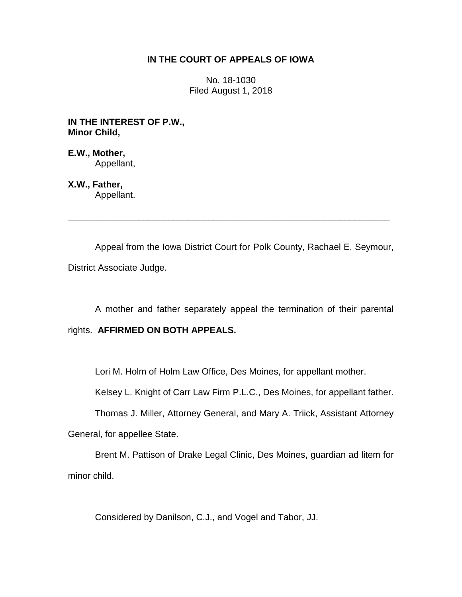# **IN THE COURT OF APPEALS OF IOWA**

No. 18-1030 Filed August 1, 2018

**IN THE INTEREST OF P.W., Minor Child,**

**E.W., Mother,** Appellant,

**X.W., Father,** Appellant.

Appeal from the Iowa District Court for Polk County, Rachael E. Seymour, District Associate Judge.

\_\_\_\_\_\_\_\_\_\_\_\_\_\_\_\_\_\_\_\_\_\_\_\_\_\_\_\_\_\_\_\_\_\_\_\_\_\_\_\_\_\_\_\_\_\_\_\_\_\_\_\_\_\_\_\_\_\_\_\_\_\_\_\_

A mother and father separately appeal the termination of their parental rights. **AFFIRMED ON BOTH APPEALS.**

Lori M. Holm of Holm Law Office, Des Moines, for appellant mother.

Kelsey L. Knight of Carr Law Firm P.L.C., Des Moines, for appellant father.

Thomas J. Miller, Attorney General, and Mary A. Triick, Assistant Attorney

General, for appellee State.

Brent M. Pattison of Drake Legal Clinic, Des Moines, guardian ad litem for minor child.

Considered by Danilson, C.J., and Vogel and Tabor, JJ.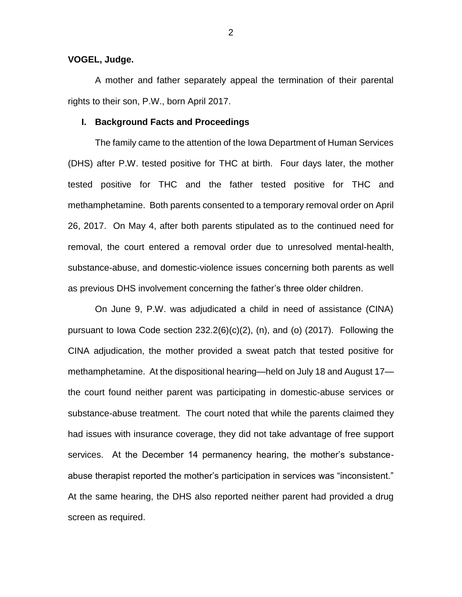## **VOGEL, Judge.**

A mother and father separately appeal the termination of their parental rights to their son, P.W., born April 2017.

#### **I. Background Facts and Proceedings**

The family came to the attention of the Iowa Department of Human Services (DHS) after P.W. tested positive for THC at birth. Four days later, the mother tested positive for THC and the father tested positive for THC and methamphetamine. Both parents consented to a temporary removal order on April 26, 2017. On May 4, after both parents stipulated as to the continued need for removal, the court entered a removal order due to unresolved mental-health, substance-abuse, and domestic-violence issues concerning both parents as well as previous DHS involvement concerning the father's three older children.

On June 9, P.W. was adjudicated a child in need of assistance (CINA) pursuant to Iowa Code section  $232.2(6)(c)(2)$ , (n), and (o) (2017). Following the CINA adjudication, the mother provided a sweat patch that tested positive for methamphetamine. At the dispositional hearing—held on July 18 and August 17 the court found neither parent was participating in domestic-abuse services or substance-abuse treatment. The court noted that while the parents claimed they had issues with insurance coverage, they did not take advantage of free support services. At the December 14 permanency hearing, the mother's substanceabuse therapist reported the mother's participation in services was "inconsistent." At the same hearing, the DHS also reported neither parent had provided a drug screen as required.

2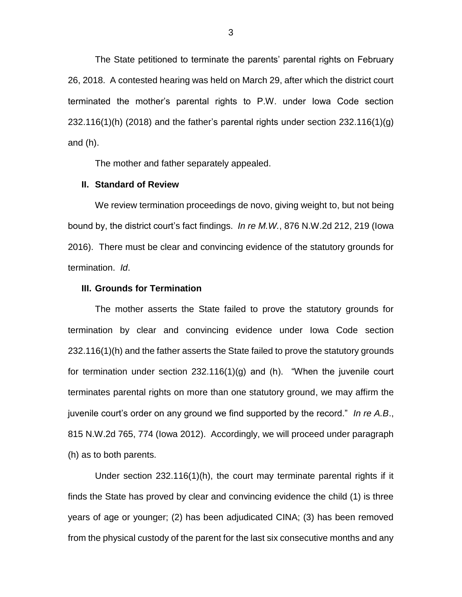The State petitioned to terminate the parents' parental rights on February 26, 2018. A contested hearing was held on March 29, after which the district court terminated the mother's parental rights to P.W. under Iowa Code section  $232.116(1)$ (h) (2018) and the father's parental rights under section  $232.116(1)$ (g) and (h).

The mother and father separately appealed.

## **II. Standard of Review**

We review termination proceedings de novo, giving weight to, but not being bound by, the district court's fact findings. *In re M.W.*, 876 N.W.2d 212, 219 (Iowa 2016). There must be clear and convincing evidence of the statutory grounds for termination. *Id*.

### **III. Grounds for Termination**

The mother asserts the State failed to prove the statutory grounds for termination by clear and convincing evidence under Iowa Code section 232.116(1)(h) and the father asserts the State failed to prove the statutory grounds for termination under section 232.116(1)(g) and (h). "When the juvenile court terminates parental rights on more than one statutory ground, we may affirm the juvenile court's order on any ground we find supported by the record." *In re A.B*., 815 N.W.2d 765, 774 (Iowa 2012). Accordingly, we will proceed under paragraph (h) as to both parents.

Under section 232.116(1)(h), the court may terminate parental rights if it finds the State has proved by clear and convincing evidence the child (1) is three years of age or younger; (2) has been adjudicated CINA; (3) has been removed from the physical custody of the parent for the last six consecutive months and any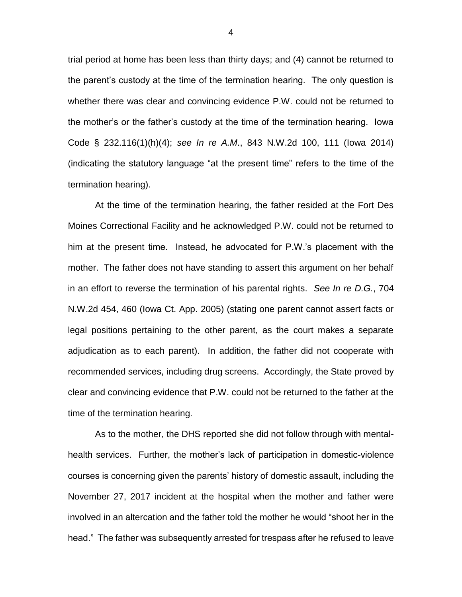trial period at home has been less than thirty days; and (4) cannot be returned to the parent's custody at the time of the termination hearing. The only question is whether there was clear and convincing evidence P.W. could not be returned to the mother's or the father's custody at the time of the termination hearing. Iowa Code § 232.116(1)(h)(4); *see In re A.M*., 843 N.W.2d 100, 111 (Iowa 2014) (indicating the statutory language "at the present time" refers to the time of the termination hearing).

At the time of the termination hearing, the father resided at the Fort Des Moines Correctional Facility and he acknowledged P.W. could not be returned to him at the present time. Instead, he advocated for P.W.'s placement with the mother. The father does not have standing to assert this argument on her behalf in an effort to reverse the termination of his parental rights. *See In re D.G.*, 704 N.W.2d 454, 460 (Iowa Ct. App. 2005) (stating one parent cannot assert facts or legal positions pertaining to the other parent, as the court makes a separate adjudication as to each parent). In addition, the father did not cooperate with recommended services, including drug screens. Accordingly, the State proved by clear and convincing evidence that P.W. could not be returned to the father at the time of the termination hearing.

As to the mother, the DHS reported she did not follow through with mentalhealth services. Further, the mother's lack of participation in domestic-violence courses is concerning given the parents' history of domestic assault, including the November 27, 2017 incident at the hospital when the mother and father were involved in an altercation and the father told the mother he would "shoot her in the head." The father was subsequently arrested for trespass after he refused to leave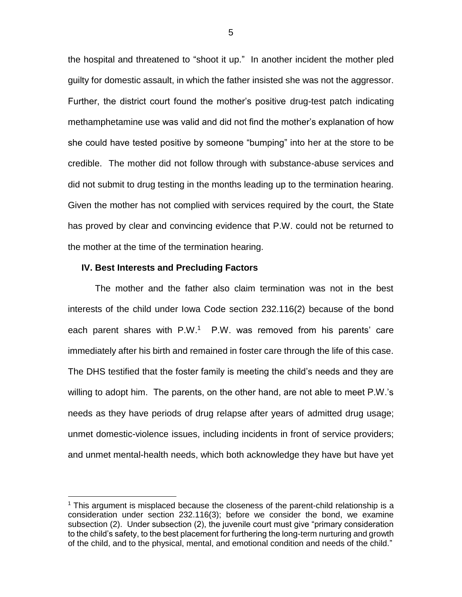the hospital and threatened to "shoot it up." In another incident the mother pled guilty for domestic assault, in which the father insisted she was not the aggressor. Further, the district court found the mother's positive drug-test patch indicating methamphetamine use was valid and did not find the mother's explanation of how she could have tested positive by someone "bumping" into her at the store to be credible. The mother did not follow through with substance-abuse services and did not submit to drug testing in the months leading up to the termination hearing. Given the mother has not complied with services required by the court, the State has proved by clear and convincing evidence that P.W. could not be returned to the mother at the time of the termination hearing.

### **IV. Best Interests and Precluding Factors**

 $\overline{a}$ 

The mother and the father also claim termination was not in the best interests of the child under Iowa Code section 232.116(2) because of the bond each parent shares with P.W.<sup>1</sup> P.W. was removed from his parents' care immediately after his birth and remained in foster care through the life of this case. The DHS testified that the foster family is meeting the child's needs and they are willing to adopt him. The parents, on the other hand, are not able to meet P.W.'s needs as they have periods of drug relapse after years of admitted drug usage; unmet domestic-violence issues, including incidents in front of service providers; and unmet mental-health needs, which both acknowledge they have but have yet

 $<sup>1</sup>$  This argument is misplaced because the closeness of the parent-child relationship is a</sup> consideration under section 232.116(3); before we consider the bond, we examine subsection (2). Under subsection (2), the juvenile court must give "primary consideration to the child's safety, to the best placement for furthering the long-term nurturing and growth of the child, and to the physical, mental, and emotional condition and needs of the child."